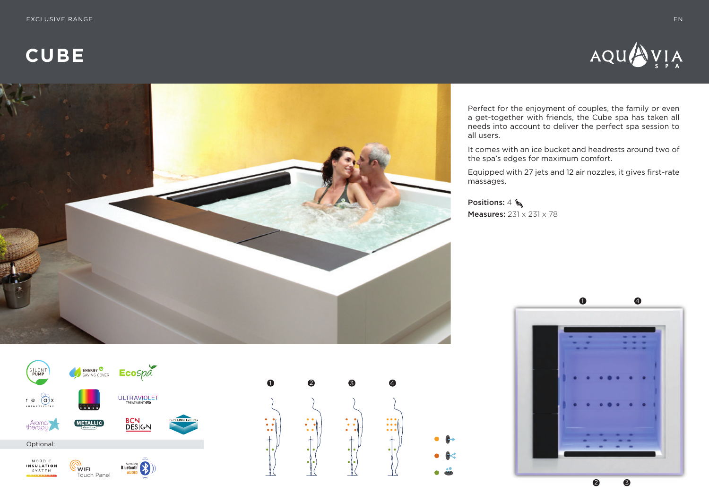**CUBE**





Perfect for the enjoyment of couples, the family or even a get-together with friends, the Cube spa has taken all needs into account to deliver the perfect spa session to all users.

It comes with an ice bucket and headrests around two of the spa's edges for maximum comfort.

Equipped with 27 jets and 12 air nozzles, it gives first-rate massages.

Positions:  $4 \bigwedge$ **Measures:** 231 x 231 x 78





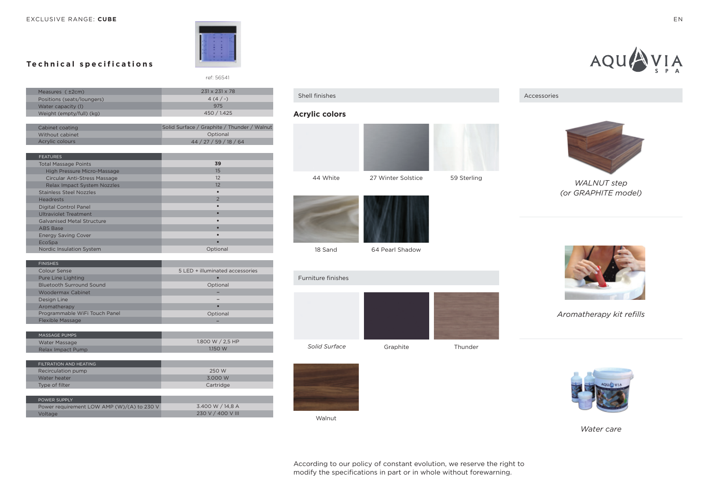# **Technical specifications**

|                            | ref: 56541                 |
|----------------------------|----------------------------|
| Measures ( ±2cm)           | $231 \times 231 \times 78$ |
| Positions (seats/loungers) | $4(4/-)$                   |
| Water capacity (I)         | 975                        |
| Weight (empty/full) (kg)   | 450 / 1.425                |

| Cabinet coating | Solid Surface / Graphite / Thunder / Walnut |
|-----------------|---------------------------------------------|
| Without cabinet | Optional                                    |
| Acrylic colours | 44/27/59/18/64                              |
|                 |                                             |

| <b>FEATURES</b>                     |                |
|-------------------------------------|----------------|
| <b>Total Massage Points</b>         | 39             |
| <b>High Pressure Micro-Massage</b>  | 15             |
| <b>Circular Anti-Stress Massage</b> | 12             |
| <b>Relax Impact System Nozzles</b>  | 12             |
| <b>Stainless Steel Nozzles</b>      |                |
| <b>Headrests</b>                    | $\overline{2}$ |
| <b>Digital Control Panel</b>        | ٠              |
| <b>Ultraviolet Treatment</b>        |                |
| <b>Galvanised Metal Structure</b>   | $\bullet$      |
| <b>ABS Base</b>                     | ٠              |
| <b>Energy Saving Cover</b>          |                |
| EcoSpa                              | ٠              |
| Nordic Insulation System            | Optional       |

| <b>FINISHES</b>                 |                                 |
|---------------------------------|---------------------------------|
| Colour Sense                    | 5 LED + illuminated accessories |
| Pure Line Lighting              |                                 |
| <b>Bluetooth Surround Sound</b> | Optional                        |
| <b>Woodermax Cabinet</b>        |                                 |
| Design Line                     |                                 |
| Aromatherapy                    | ٠                               |
| Programmable WiFi Touch Panel   | Optional                        |
| <b>Flexible Massage</b>         |                                 |
|                                 |                                 |

| MASSAGE PUMPS     |                    |
|-------------------|--------------------|
| Water Massage     | 1.800 W $/$ 2.5 HP |
| Relax Impact Pump | 1150 W             |

| FILTRATION AND HEATING                     |                   |
|--------------------------------------------|-------------------|
| Recirculation pump                         | 250 W             |
| Water heater                               | 3.000 W           |
| Type of filter                             | Cartridge         |
|                                            |                   |
| POWER SUPPLY                               |                   |
| Power requirement LOW AMP (W)/(A) to 230 V | 3.400 W / 14,8 A  |
| Voltage                                    | 230 V / 400 V III |

### Shell finishes

#### **Acrylic colors**





18 Sand

64 Pearl Shadow





Walnut





*WALNUT step (or GRAPHITE model)*



*Aromatherapy kit refills*



*Water care*

EN

According to our policy of constant evolution, we reserve the right to modify the specifications in part or in whole without forewarning.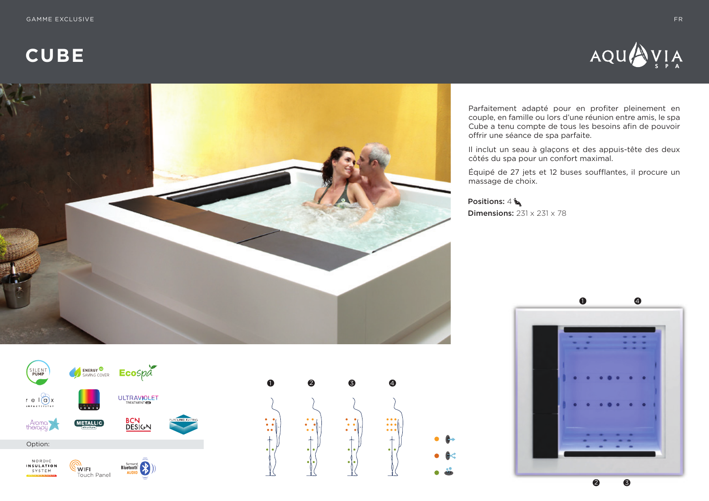**CUBE**





Parfaitement adapté pour en profiter pleinement en couple, en famille ou lors d'une réunion entre amis, le spa Cube a tenu compte de tous les besoins afin de pouvoir offrir une séance de spa parfaite.

Il inclut un seau à glaçons et des appuis-tête des deux côtés du spa pour un confort maximal.

Équipé de 27 jets et 12 buses soufflantes, il procure un massage de choix.

Positions: 4 **Dimensions:**  $231 \times 231 \times 78$ 





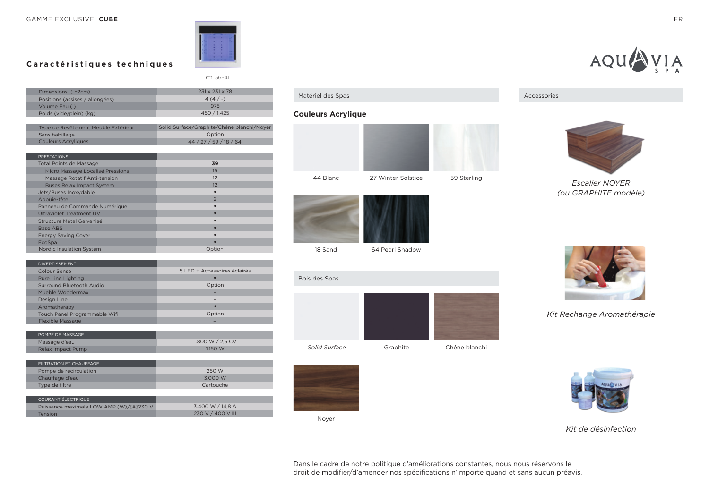

ref: 56541

# **Caractéristiques techniques**

| Dimensions ( ±2cm)                  | 231 x 231 x 78                             |
|-------------------------------------|--------------------------------------------|
| Positions (assises / allongées)     | $4(4/-)$                                   |
| Volume Eau (I)                      | 975                                        |
| Poids (vide/plein) (kg)             | 450 / 1.425                                |
|                                     |                                            |
| Type de Revêtement Meuble Extérieur | Solid Surface/Graphite/Chêne blanchi/Noyer |
| Sans habillage                      | Option                                     |
| <b>Couleurs Acryliques</b>          | 44 / 27 / 59 / 18 / 64                     |
|                                     |                                            |
| <b>PRESTATIONS</b>                  |                                            |
| <b>Total Points de Massage</b>      | 39                                         |
| Micro Massage Localisé Pressions    | 15                                         |
| Massage Rotatif Anti-tension        | 12                                         |
| <b>Buses Relax Impact System</b>    | 12                                         |
| Jets/Buses Inoxydable               |                                            |
| Appuie-tête                         | $\overline{2}$                             |
| Panneau de Commande Numérique       |                                            |
| Ultraviolet Treatment UV            |                                            |
| Structure Métal Galvanisé           |                                            |
| Base ABS                            |                                            |
| <b>Energy Saving Cover</b>          |                                            |
| EcoSpa                              |                                            |
| Nordic Insulation System            | Option                                     |
|                                     |                                            |

| <b>DIVERTISSEMENT</b>         |                              |
|-------------------------------|------------------------------|
| Colour Sense                  | 5 LED + Accessoires éclairés |
| Pure Line Lighting            |                              |
| Surround Bluetooth Audio      | Option                       |
| Mueble Woodermax              |                              |
| Design Line                   |                              |
| Aromatherapy                  | $\bullet$                    |
| Touch Panel Programmable Wifi | Option                       |
| <b>Flexible Massage</b>       |                              |
|                               |                              |

| POMPE DE MASSAGE  |                  |
|-------------------|------------------|
| Massage d'eau     | 1,800 W / 2.5 CV |
| Relax Impact Pump | 1.150 W          |

| FILTRATION ET CHAUFFAGE                 |                   |
|-----------------------------------------|-------------------|
| Pompe de recirculation                  | 250 W             |
| Chauffage d'eau                         | 3.000 W           |
| Type de filtre                          | Cartouche         |
|                                         |                   |
| COURANT ÉLECTRIQUE                      |                   |
| Puissance maximale LOW AMP (W)/(A)230 V | 3.400 W / 14.8 A  |
| Tension                                 | 230 V / 400 V III |









18 Sand

Matériel des Spas

64 Pearl Shadow





Noyer







*Kit Rechange Aromathérapie*



*Kit de désinfection*

Dans le cadre de notre politique d'améliorations constantes, nous nous réservons le droit de modifier/d'amender nos spécifications n'importe quand et sans aucun préavis.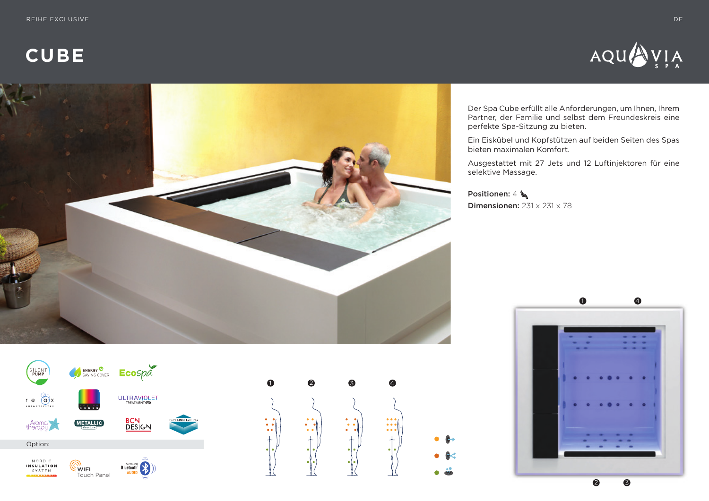**CUBE**





Der Spa Cube erfüllt alle Anforderungen, um Ihnen, Ihrem Partner, der Familie und selbst dem Freundeskreis eine perfekte Spa-Sitzung zu bieten.

Ein Eiskübel und Kopfstützen auf beiden Seiten des Spas bieten maximalen Komfort.

Ausgestattet mit 27 Jets und 12 Luftinjektoren für eine selektive Massage.

Positionen: 4 Dimensionen: 231 x 231 x 78





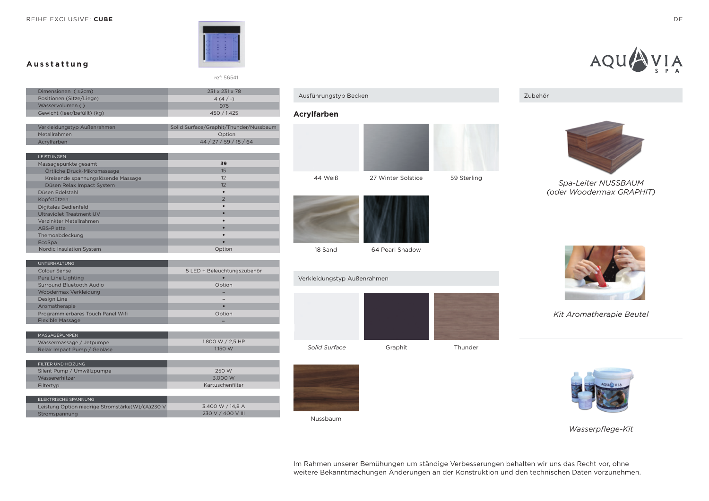REIHE EXCLUSIVE: **CUBE**

**Ausstattung**



ref: 56541

| Dimensionen ( ±2cm)                | 231 x 231 x 78                         |
|------------------------------------|----------------------------------------|
| Positionen (Sitze/Liege)           | $4(4/-)$                               |
| Wasservolumen (I)                  | 975                                    |
| Gewicht (leer/befüllt) (kg)        | 450 / 1.425                            |
|                                    |                                        |
| Verkleidungstyp Außenrahmen        | Solid Surface/Graphit/Thunder/Nussbaum |
| Metallrahmen                       | Option                                 |
| Acrylfarben                        | 44 / 27 / 59 / 18 / 64                 |
| LEISTUNGEN                         |                                        |
| Massagepunkte gesamt               | 39                                     |
| Örtliche Druck-Mikromassage        | 15                                     |
| Kreisende spannungslösende Massage | 12                                     |
| Düsen Relax Impact System          | 12                                     |
| Düsen Edelstahl                    | $\bullet$                              |
| Kopfstützen                        | $\overline{2}$                         |
| Digitales Bedienfeld               |                                        |
| <b>Ultraviolet Treatment UV</b>    |                                        |
| Verzinkter Metallrahmen            |                                        |
| ABS-Platte                         | ٠                                      |
| Themoabdeckung                     |                                        |
| EcoSpa                             | ٠                                      |
| Nordic Insulation System           | Option                                 |
| <b>UNTERHALTUNG</b>                |                                        |
| <b>Colour Sense</b>                | 5 LED + Beleuchtungszubehör            |
| <b>Pure Line Lighting</b>          |                                        |
| Surround Bluetooth Audio           | Option                                 |
| Woodermax Verkleidung              |                                        |
| Design Line                        |                                        |
| Aromatherapie                      | $\bullet$                              |
| Programmierbares Touch Panel Wifi  | Option                                 |
| <b>Flexible Massage</b>            |                                        |
|                                    |                                        |
| MASSAGEPUMPEN                      |                                        |
| Wassermassage / Jetpumpe           | 1.800 W / 2,5 HP                       |
| Relax Impact Pump / Gebläse        | 1.150 W                                |
| FILTER UND HEIZUNG                 |                                        |
| Silent Pump / Umwälzpumpe          | 250 W                                  |
| Wassererhitzer                     | 3.000 W                                |
| Filtertvp                          | Kartuschenfilter                       |

| FLEKTRISCHE SPANNUNG                             |                   |
|--------------------------------------------------|-------------------|
| Leistung Option niedrige Stromstärke(W)/(A)230 V | 3.400 W / 14.8 A  |
| Stromspannung                                    | 230 V / 400 V III |
|                                                  |                   |





18 Sand

64 Pearl Shadow

Verkleidungstyp Außenrahmen





Nussbaum





AQU

*Spa-Leiter NUSSBAUM (oder Woodermax GRAPHIT)*



*Kit Aromatherapie Beutel*



*Wasserpflege-Kit*

Im Rahmen unserer Bemühungen um ständige Verbesserungen behalten wir uns das Recht vor, ohne weitere Bekanntmachungen Änderungen an der Konstruktion und den technischen Daten vorzunehmen.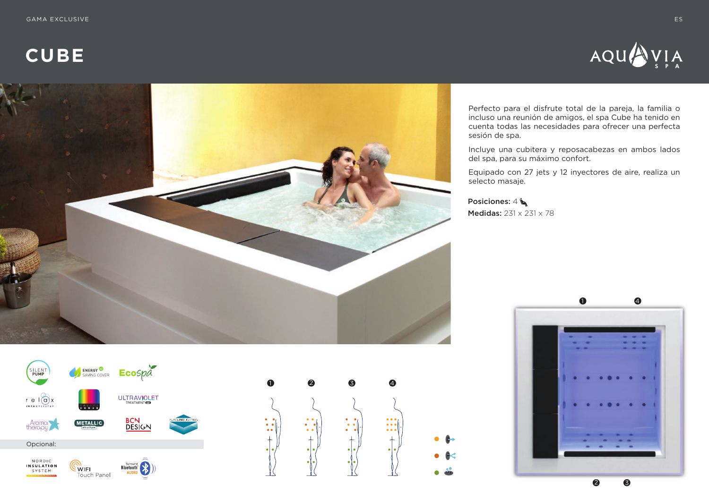**CUBE**





Perfecto para el disfrute total de la pareja, la familia o incluso una reunión de amigos, el spa Cube ha tenido en cuenta todas las necesidades para ofrecer una perfecta sesión de spa.

Incluye una cubitera y reposacabezas en ambos lados del spa, para su máximo confort.

Equipado con 27 jets y 12 inyectores de aire, realiza un selecto masaje.

Posiciones: 4 Medidas: 231 x 231 x 78





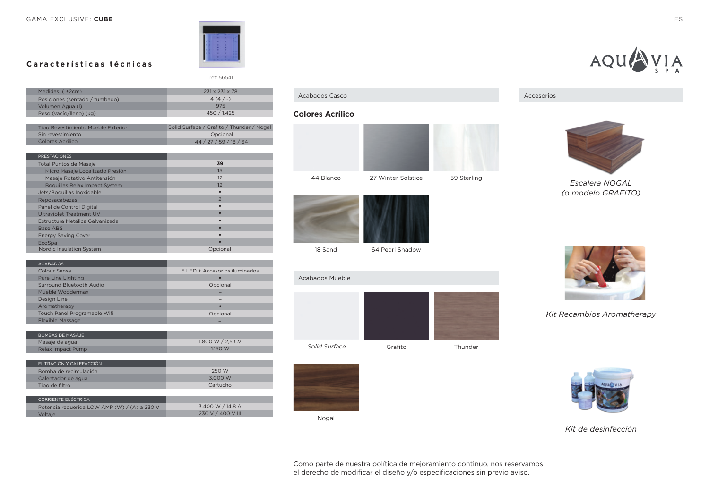GAMA EXCLUSIVE: **CUBE** ES



ref: 56541

# **Características técnicas**

| Medidas ( ±2cm)                    | $231 \times 231 \times 78$                |
|------------------------------------|-------------------------------------------|
| Posiciones (sentado / tumbado)     | $4(4/-)$                                  |
| Volumen Agua (I)                   | 975                                       |
| Peso (vacío/lleno) (kg)            | 450 / 1.425                               |
|                                    |                                           |
| Tipo Revestimiento Mueble Exterior | Solid Surface / Grafito / Thunder / Nogal |
| Sin revestimiento                  | Opcional                                  |
| <b>Colores Acrílico</b>            | 44 / 27 / 59 / 18 / 64                    |
|                                    |                                           |
| <b>PRESTACIONES</b>                |                                           |
| <b>Total Puntos de Masaje</b>      | 39                                        |
| Micro Masaje Localizado Presión    | 15                                        |
| Masaje Rotativo Antitensión        | 12                                        |
| Boquillas Relax Impact System      | 12                                        |
| Jets/Boquillas Inoxidable          | $\bullet$                                 |
| Reposacabezas                      | 2                                         |
| Panel de Control Digital           |                                           |
| Ultraviolet Treatment UV           | $\bullet$                                 |
| Estructura Metálica Galvanizada    |                                           |
| <b>Base ABS</b>                    |                                           |
| <b>Energy Saving Cover</b>         |                                           |
| EcoSpa                             |                                           |
| Nordic Insulation System           | Opcional                                  |
|                                    |                                           |
| <b>ACABADOS</b>                    |                                           |
| <b>Colour Sense</b>                | 5 LED + Accesorios iluminados             |
| Pure Line Lighting                 |                                           |
| Surround Bluetooth Audio           | Opcional                                  |

| <b>ACABADOS</b>              |                               |
|------------------------------|-------------------------------|
| Colour Sense                 | 5 LED + Accesorios iluminados |
| Pure Line Lighting           | $\bullet$                     |
| Surround Bluetooth Audio     | Opcional                      |
| Mueble Woodermax             |                               |
| Design Line                  |                               |
| Aromatherapy                 |                               |
| Touch Panel Programable Wifi | Opcional                      |
| <b>Flexible Massage</b>      |                               |
|                              |                               |
| <b>BOMBAS DE MASAJE</b>      |                               |

| Masaie de agua    | 1.800 W / 2.5 CV |
|-------------------|------------------|
| Relax Impact Pump | 1150 W           |
|                   |                  |

| FILTRACIÓN Y CALEFACCIÓN |          |
|--------------------------|----------|
| Bomba de recirculación   | 250 W    |
| Calentador de agua       | 3.000 W  |
| Tipo de filtro           | Cartucho |
|                          |          |
| CORRIENTE ELÉCTRICA      |          |

| Potencia requerida LOW AMP (W) / (A) a 230 V | 3.400 W / 14.8 A  |
|----------------------------------------------|-------------------|
| Voltaie                                      | 230 V / 400 V III |
|                                              |                   |



# Acabados Casco

#### **Colores Acrílico**





18 Sand

64 Pearl Shadow





Nogal





*Kit Recambios Aromatherapy*



*Kit de desinfección*

Como parte de nuestra política de mejoramiento continuo, nos reservamos el derecho de modificar el diseño y/o especificaciones sin previo aviso.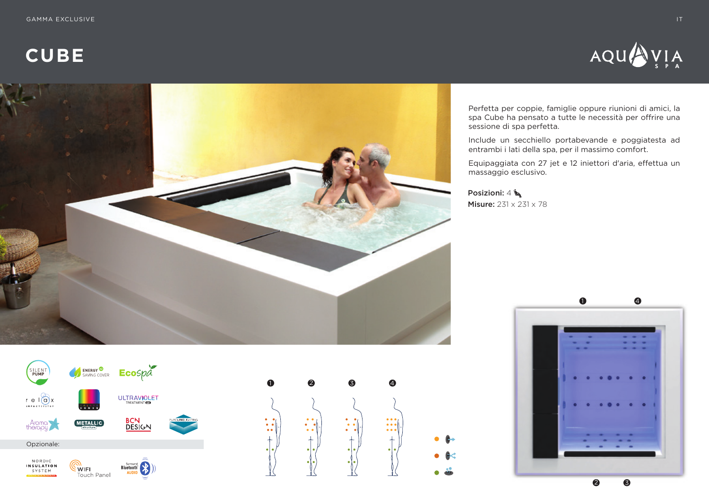**CUBE**





Perfetta per coppie, famiglie oppure riunioni di amici, la spa Cube ha pensato a tutte le necessità per offrire una sessione di spa perfetta.

Include un secchiello portabevande e poggiatesta ad entrambi i lati della spa, per il massimo comfort.

Equipaggiata con 27 jet e 12 iniettori d'aria, effettua un massaggio esclusivo.

Posizioni:  $4 \succeq$ **Misure: 231 x 231 x 78** 





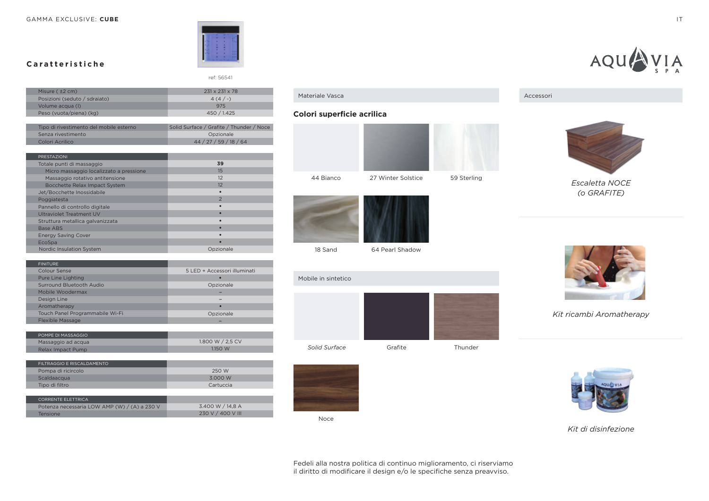GAMMA EXCLUSIVE: CUBE **IT A RELATIVE CUBE IT A RELATIVE CONTRACT OF A RELATIVE CUBE** 



ref: 56541

**Caratteristiche**

| Misure (±2 cm)                          | 231 x 231 x 78                           |
|-----------------------------------------|------------------------------------------|
| Posizioni (seduto / sdraiato)           | $4(4/-)$                                 |
| Volume acqua (I)                        | 975                                      |
| Peso (vuota/piena) (kg)                 | 450 / 1.425                              |
|                                         |                                          |
| Tipo di rivestimento del mobile esterno | Solid Surface / Grafite / Thunder / Noce |
| Senza rivestimento                      | Opzionale                                |
| Colori Acrilico                         | 44 / 27 / 59 / 18 / 64                   |
|                                         |                                          |
| <b>PRESTAZIONI</b>                      |                                          |
| Totale punti di massaggio               | 39                                       |
| Micro massaggio localizzato a pressione | 15                                       |
| Massaggio rotativo antitensione         | 12                                       |
| Bocchette Relax Impact System           | 12                                       |
| Jet/Bocchette Inossidabile              |                                          |
| Poggiatesta                             | $\overline{2}$                           |
| Pannello di controllo digitale          |                                          |
| <b>Ultraviolet Treatment UV</b>         |                                          |
| Struttura metallica galvanizzata        |                                          |
| Base ABS                                |                                          |
| <b>Energy Saving Cover</b>              |                                          |
| EcoSpa                                  |                                          |
| Nordic Insulation System                | Opzionale                                |
|                                         |                                          |
|                                         |                                          |

| <b>FINITURE</b>                 |                              |
|---------------------------------|------------------------------|
| Colour Sense                    | 5 LED + Accessori illuminati |
| Pure Line Lighting              |                              |
| Surround Bluetooth Audio        | Opzionale                    |
| Mobile Woodermax                |                              |
| Design Line                     |                              |
| Aromatherapy                    | $\bullet$                    |
| Touch Panel Programmabile Wi-Fi | Opzionale                    |
| <b>Flexible Massage</b>         |                              |
|                                 |                              |

| POMPE DI MASSAGGIO |                  |
|--------------------|------------------|
| Massaggio ad acqua | 1.800 W / 2.5 CV |
| Relax Impact Pump  | 1.150 W          |

| FII TRAGGIO E RISCAI DAMENTO |           |
|------------------------------|-----------|
| Pompa di ricircolo           | 250 W     |
| Scaldaacqua                  | 3.000 W   |
| Tipo di filtro               | Cartuccia |
|                              |           |
| <b>CORRENTE ELETTRICA</b>    |           |

| Potenza necessaria LOW AMP (W) / (A) a 230 V | 3.400 W / 14.8 A  |
|----------------------------------------------|-------------------|
| Tensione                                     | 230 V / 400 V III |
|                                              |                   |

# Materiale Vasca

### **Colori superficie acrilica**





18 Sand

64 Pearl Shadow





Noce





*Kit ricambi Aromatherapy*



*Kit di disinfezione*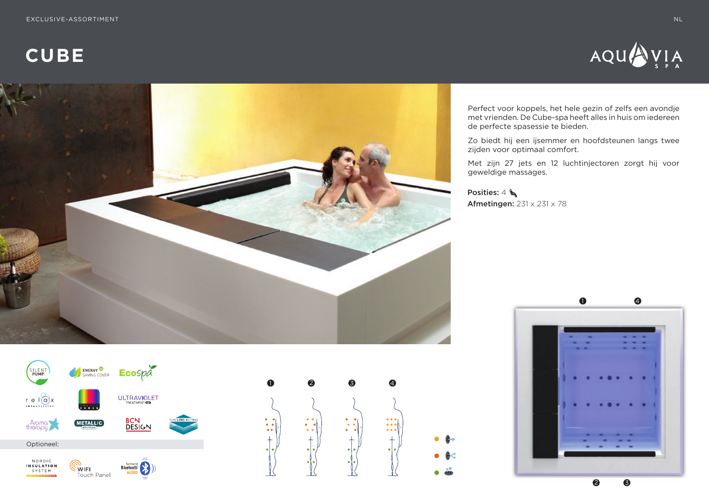**CUBE**





Perfect voor koppels, het hele gezin of zelfs een avondje met vrienden. De Cube-spa heeft alles in huis om iedereen de perfecte spasessie te bieden.

Zo biedt hij een ijsemmer en hoofdsteunen langs twee zijden voor optimaal comfort.

Met zijn 27 jets en 12 luchtinjectoren zorgt hij voor geweldige massages.

Posities: 4 Afmetingen: 231 x 231 x 78





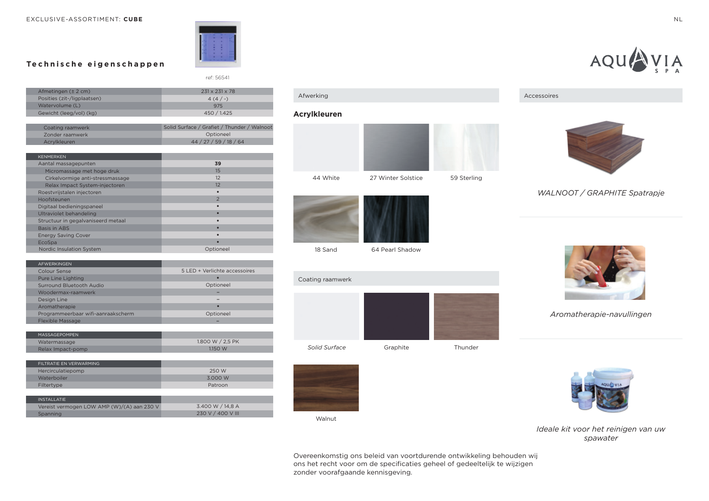ref: 56541

### **Technische eigenschappen**

|                                             | Afwerking                  |
|---------------------------------------------|----------------------------|
|                                             |                            |
| 975                                         |                            |
| 450 / 1.425                                 | <b>Acrylkleure</b>         |
|                                             |                            |
| Solid Surface / Grafiet / Thunder / Walnoot |                            |
| Optioneel                                   |                            |
| 44 / 27 / 59 / 18 / 64                      |                            |
|                                             |                            |
|                                             |                            |
| 39                                          |                            |
| 15                                          |                            |
| 12                                          | 44 White                   |
| 12                                          |                            |
|                                             |                            |
| $\overline{2}$                              |                            |
|                                             |                            |
|                                             |                            |
|                                             |                            |
|                                             |                            |
|                                             |                            |
|                                             |                            |
| Optioneel                                   | 18 Sand                    |
|                                             | 231 x 231 x 78<br>$4(4/-)$ |

| <b>AFWFRKINGFN</b>                 |                               |
|------------------------------------|-------------------------------|
| Colour Sense                       | 5 LED + Verlichte accessoires |
| Pure Line Lighting                 |                               |
| Surround Bluetooth Audio           | Optioneel                     |
| Woodermax-raamwerk                 |                               |
| Design Line                        |                               |
| Aromatherapie                      |                               |
| Programmeerbaar wifi-aanraakscherm | Optioneel                     |
| <b>Flexible Massage</b>            |                               |
|                                    |                               |

| <b>MASSAGFPOMPFN</b> |                  |
|----------------------|------------------|
| Watermassage         | 1.800 W / 2.5 PK |
| Relax Impact-pomp    | 1150 W           |

| FILTRATIE EN VERWARMING                    |                   |
|--------------------------------------------|-------------------|
| Hercirculatiepomp                          | 250 W             |
| Waterboiler                                | 3.000 W           |
| Filtertype                                 | Patroon           |
|                                            |                   |
| <b>INSTALL ATIF</b>                        |                   |
| Vereist vermogen LOW AMP (W)/(A) aan 230 V | 3.400 W / 14,8 A  |
| Spanning                                   | 230 V / 400 V III |



#### **Acrylkleuren**





64 Pearl Shadow





۰

Walnut





Accessoires

# *WALNOOT / GRAPHITE Spatrapje*



*Aromatherapie-navullingen*



*Ideale kit voor het reinigen van uw spawater*

Overeenkomstig ons beleid van voortdurende ontwikkeling behouden wij ons het recht voor om de specificaties geheel of gedeeltelijk te wijzigen zonder voorafgaande kennisgeving.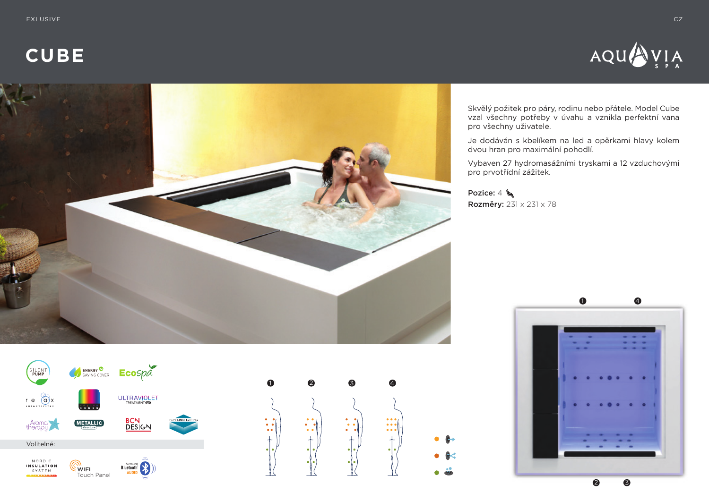**CUBE**







Je dodáván s kbelíkem na led a opěrkami hlavy kolem dvou hran pro maximální pohodlí.

Vybaven 27 hydromasážními tryskami a 12 vzduchovými pro prvotřídní zážitek.

Pozice: 4 Rozměry: 231 x 231 x 78